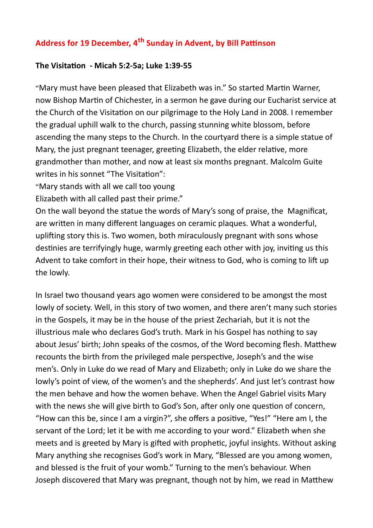## **Address for 19 December, 4th Sunday in Advent, by Bill Pattinson**

## **The Visitation - Micah 5:2-5a; Luke 1:39-55**

"Mary must have been pleased that Elizabeth was in." So started Martin Warner, now Bishop Martin of Chichester, in a sermon he gave during our Eucharist service at the Church of the Visitation on our pilgrimage to the Holy Land in 2008. I remember the gradual uphill walk to the church, passing stunning white blossom, before ascending the many steps to the Church. In the courtyard there is a simple statue of Mary, the just pregnant teenager, greeting Elizabeth, the elder relative, more grandmother than mother, and now at least six months pregnant. Malcolm Guite writes in his sonnet "The Visitation":

"Mary stands with all we call too young

Elizabeth with all called past their prime."

On the wall beyond the statue the words of Mary's song of praise, the Magnificat, are written in many different languages on ceramic plaques. What a wonderful, uplifting story this is. Two women, both miraculously pregnant with sons whose destinies are terrifyingly huge, warmly greeting each other with joy, inviting us this Advent to take comfort in their hope, their witness to God, who is coming to lift up the lowly.

In Israel two thousand years ago women were considered to be amongst the most lowly of society. Well, in this story of two women, and there aren't many such stories in the Gospels, it may be in the house of the priest Zechariah, but it is not the illustrious male who declares God's truth. Mark in his Gospel has nothing to say about Jesus' birth; John speaks of the cosmos, of the Word becoming flesh. Matthew recounts the birth from the privileged male perspective, Joseph's and the wise men's. Only in Luke do we read of Mary and Elizabeth; only in Luke do we share the lowly's point of view, of the women's and the shepherds'. And just let's contrast how the men behave and how the women behave. When the Angel Gabriel visits Mary with the news she will give birth to God's Son, after only one question of concern, "How can this be, since I am a virgin?", she offers a positive, "Yes!" "Here am I, the servant of the Lord; let it be with me according to your word." Elizabeth when she meets and is greeted by Mary is gifted with prophetic, joyful insights. Without asking Mary anything she recognises God's work in Mary, "Blessed are you among women, and blessed is the fruit of your womb." Turning to the men's behaviour. When Joseph discovered that Mary was pregnant, though not by him, we read in Matthew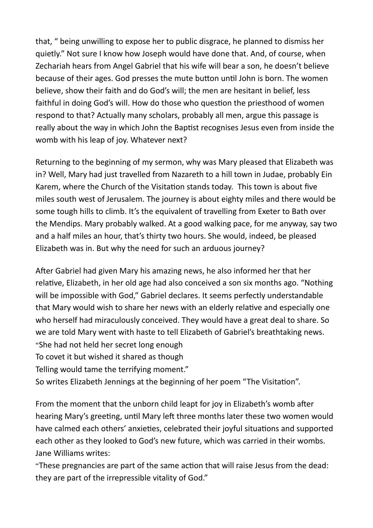that, " being unwilling to expose her to public disgrace, he planned to dismiss her quietly." Not sure I know how Joseph would have done that. And, of course, when Zechariah hears from Angel Gabriel that his wife will bear a son, he doesn't believe because of their ages. God presses the mute button until John is born. The women believe, show their faith and do God's will; the men are hesitant in belief, less faithful in doing God's will. How do those who question the priesthood of women respond to that? Actually many scholars, probably all men, argue this passage is really about the way in which John the Baptist recognises Jesus even from inside the womb with his leap of joy. Whatever next?

Returning to the beginning of my sermon, why was Mary pleased that Elizabeth was in? Well, Mary had just travelled from Nazareth to a hill town in Judae, probably Ein Karem, where the Church of the Visitation stands today. This town is about five miles south west of Jerusalem. The journey is about eighty miles and there would be some tough hills to climb. It's the equivalent of travelling from Exeter to Bath over the Mendips. Mary probably walked. At a good walking pace, for me anyway, say two and a half miles an hour, that's thirty two hours. She would, indeed, be pleased Elizabeth was in. But why the need for such an arduous journey?

After Gabriel had given Mary his amazing news, he also informed her that her relative, Elizabeth, in her old age had also conceived a son six months ago. "Nothing will be impossible with God," Gabriel declares. It seems perfectly understandable that Mary would wish to share her news with an elderly relative and especially one who herself had miraculously conceived. They would have a great deal to share. So we are told Mary went with haste to tell Elizabeth of Gabriel's breathtaking news. "She had not held her secret long enough

To covet it but wished it shared as though

Telling would tame the terrifying moment."

So writes Elizabeth Jennings at the beginning of her poem "The Visitation".

From the moment that the unborn child leapt for joy in Elizabeth's womb after hearing Mary's greeting, until Mary left three months later these two women would have calmed each others' anxieties, celebrated their joyful situations and supported each other as they looked to God's new future, which was carried in their wombs. Jane Williams writes:

"These pregnancies are part of the same action that will raise Jesus from the dead: they are part of the irrepressible vitality of God."